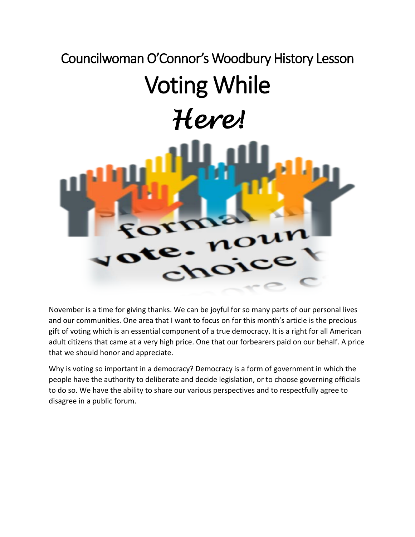## Councilwoman O'Connor's Woodbury History Lesson Voting While *Here!*

November is a time for giving thanks. We can be joyful for so many parts of our personal lives and our communities. One area that I want to focus on for this month's article is the precious gift of voting which is an essential component of a true democracy. It is a right for all American adult citizens that came at a very high price. One that our forbearers paid on our behalf. A price that we should honor and appreciate.

Why is voting so important in a democracy? Democracy is a form of government in which the people have the authority to deliberate and decide legislation, or to choose governing officials to do so. We have the ability to share our various perspectives and to respectfully agree to disagree in a public forum.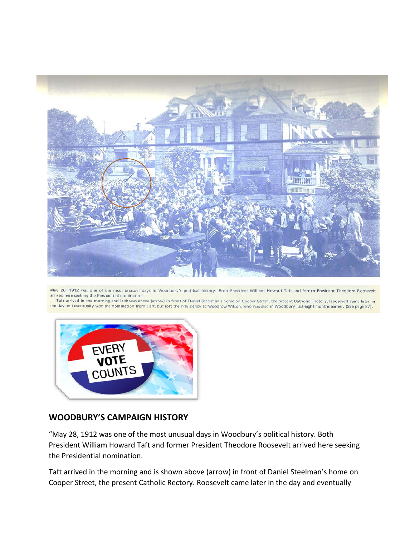

May 28, 1912 was one of the most unusual days in Woodbury's political history. Both President William Howard Taft and former President Theodore Roosevelt arrived here seeking the Presidential nomination.

Taft arrived in the morning and is shown above (arrow) in front of Daniel Steelman's home on Cooper Street, the present Catholic Rectory. Roosevelt came later in the day and eventually won the nomination from Taft, but lost the Presidency to Woodrow Wilson, who was also in Woodbury just eight months earlier. (See page 87).



## **WOODBURY'S CAMPAIGN HISTORY**

"May 28, 1912 was one of the most unusual days in Woodbury's political history. Both President William Howard Taft and former President Theodore Roosevelt arrived here seeking the Presidential nomination.

Taft arrived in the morning and is shown above (arrow) in front of Daniel Steelman's home on Cooper Street, the present Catholic Rectory. Roosevelt came later in the day and eventually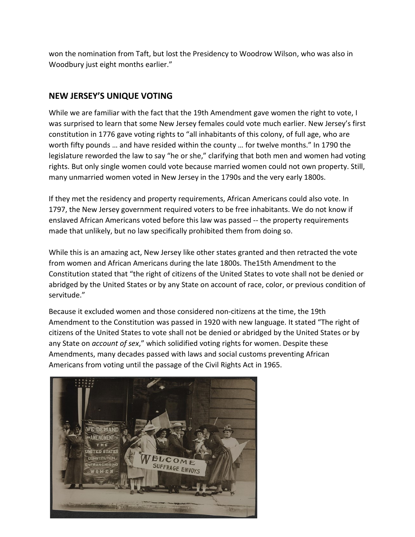won the nomination from Taft, but lost the Presidency to Woodrow Wilson, who was also in Woodbury just eight months earlier."

## **NEW JERSEY'S UNIQUE VOTING**

While we are familiar with the fact that the 19th Amendment gave women the right to vote, I was surprised to learn that some New Jersey females could vote much earlier. New Jersey's first constitution in 1776 gave voting rights to "all inhabitants of this colony, of full age, who are worth fifty pounds … and have resided within the county … for twelve months." In 1790 the legislature reworded the law to say "he or she," clarifying that both men and women had voting rights. But only single women could vote because married women could not own property. Still, many unmarried women voted in New Jersey in the 1790s and the very early 1800s.

If they met the residency and property requirements, African Americans could also vote. In 1797, the New Jersey government required voters to be free inhabitants. We do not know if enslaved African Americans voted before this law was passed -- the property requirements made that unlikely, but no law specifically prohibited them from doing so.

While this is an amazing act, New Jersey like other states granted and then retracted the vote from women and African Americans during the late 1800s. The15th Amendment to the Constitution stated that "the right of citizens of the United States to vote shall not be denied or abridged by the United States or by any State on account of race, color, or previous condition of servitude."

Because it excluded women and those considered non-citizens at the time, the 19th Amendment to the Constitution was passed in 1920 with new language. It stated "The right of citizens of the United States to vote shall not be denied or abridged by the United States or by any State on *account of sex*," which solidified voting rights for women. Despite these Amendments, many decades passed with laws and social customs preventing African Americans from voting until the passage of the Civil Rights Act in 1965.

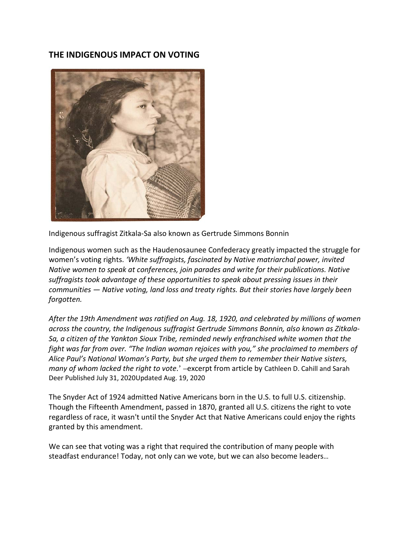## **THE INDIGENOUS IMPACT ON VOTING**



Indigenous suffragist Zitkala-Sa also known as Gertrude Simmons Bonnin

Indigenous women such as the Haudenosaunee Confederacy greatly impacted the struggle for women's voting rights. *'White suffragists, fascinated by Native matriarchal power, invited Native women to speak at conferences, join parades and write for their publications. Native suffragists took advantage of these opportunities to speak about pressing issues in their communities — Native voting, land loss and treaty rights. But their stories have largely been forgotten.*

*After the 19th Amendment was ratified on Aug. 18, 1920, and celebrated by millions of women across the country, the Indigenous suffragist Gertrude Simmons Bonnin, also known as Zitkala-Sa, a citizen of the Yankton Sioux Tribe, reminded newly enfranchised white women that the fight was far from over. "The Indian woman rejoices with you," she proclaimed to members of Alice Paul's National Woman's Party, but she urged them to remember their Native sisters, many of whom lacked the right to vote*.' –excerpt from article by Cathleen D. Cahill and Sarah Deer Published July 31, 2020Updated Aug. 19, 2020

The Snyder Act of 1924 admitted Native Americans born in the U.S. to full U.S. citizenship. Though the Fifteenth Amendment, passed in 1870, granted all U.S. citizens the right to vote regardless of race, it wasn't until the Snyder Act that Native Americans could enjoy the rights granted by this amendment.

We can see that voting was a right that required the contribution of many people with steadfast endurance! Today, not only can we vote, but we can also become leaders…